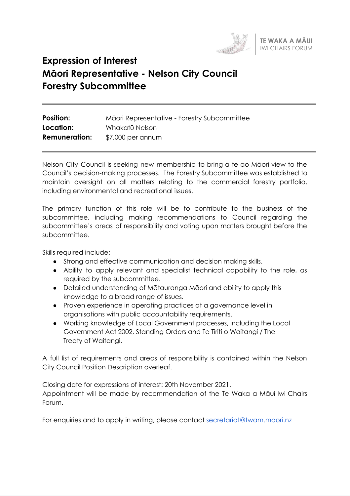

# **Expression of Interest Māori Representative - Nelson City Council Forestry Subcommittee**

| <b>Position:</b>     | Māori Representative - Forestry Subcommittee |
|----------------------|----------------------------------------------|
| Location:            | Whakatū Nelson                               |
| <b>Remuneration:</b> | $$7,000$ per annum                           |

Nelson City Council is seeking new membership to bring a te ao Māori view to the Council's decision-making processes. The Forestry Subcommittee was established to maintain oversight on all matters relating to the commercial forestry portfolio, including environmental and recreational issues.

The primary function of this role will be to contribute to the business of the subcommittee, including making recommendations to Council regarding the subcommittee's areas of responsibility and voting upon matters brought before the subcommittee.

Skills required include:

- Strong and effective communication and decision making skills.
- Ability to apply relevant and specialist technical capability to the role, as required by the subcommittee.
- Detailed understanding of Mātauranga Māori and ability to apply this knowledge to a broad range of issues.
- Proven experience in operating practices at a governance level in organisations with public accountability requirements.
- Working knowledge of Local Government processes, including the Local Government Act 2002, Standing Orders and Te Tiriti o Waitangi / The Treaty of Waitangi.

A full list of requirements and areas of responsibility is contained within the Nelson City Council Position Description overleaf.

Closing date for expressions of interest: 20th November 2021. Appointment will be made by recommendation of the Te Waka a Māui Iwi Chairs Forum.

For enquiries and to apply in writing, please contact [secretariat@twam.maori.nz](mailto:secretariat@twam.maori.nz)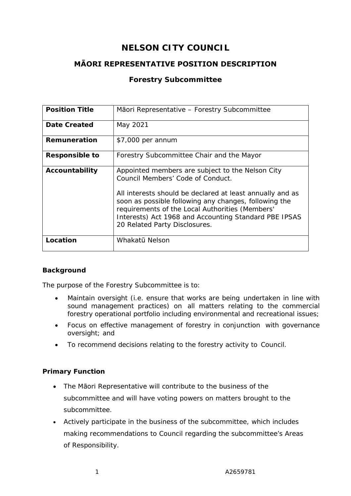# **NELSON CITY COUNCIL**

# **MĀORI REPRESENTATIVE POSITION DESCRIPTION**

# **Forestry Subcommittee**

| <b>Position Title</b> | Māori Representative - Forestry Subcommittee                                                                                                                                                                                                                                                                                                             |
|-----------------------|----------------------------------------------------------------------------------------------------------------------------------------------------------------------------------------------------------------------------------------------------------------------------------------------------------------------------------------------------------|
| Date Created          | May 2021                                                                                                                                                                                                                                                                                                                                                 |
| Remuneration          | \$7,000 per annum                                                                                                                                                                                                                                                                                                                                        |
| <b>Responsible to</b> | Forestry Subcommittee Chair and the Mayor                                                                                                                                                                                                                                                                                                                |
| Accountability        | Appointed members are subject to the Nelson City<br>Council Members' Code of Conduct.<br>All interests should be declared at least annually and as<br>soon as possible following any changes, following the<br>requirements of the Local Authorities (Members'<br>Interests) Act 1968 and Accounting Standard PBE IPSAS<br>20 Related Party Disclosures. |
| Location              | Whakatū Nelson                                                                                                                                                                                                                                                                                                                                           |

#### **Background**

The purpose of the Forestry Subcommittee is to:

- Maintain oversight (i.e. ensure that works are being undertaken in line with sound management practices) on all matters relating to the commercial forestry operational portfolio including environmental and recreational issues;
- Focus on effective management of forestry in conjunction with governance oversight; and
- To recommend decisions relating to the forestry activity to Council.

#### **Primary Function**

- The Māori Representative will contribute to the business of the subcommittee and will have voting powers on matters brought to the subcommittee.
- Actively participate in the business of the subcommittee, which includes making recommendations to Council regarding the subcommittee's Areas of Responsibility.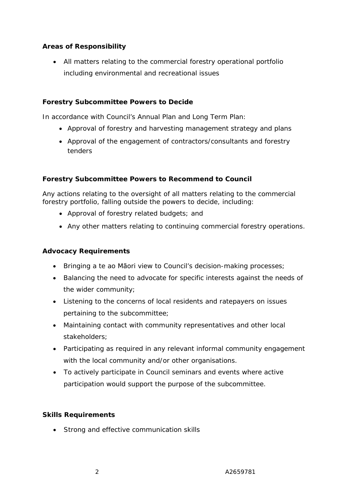### **Areas of Responsibility**

• All matters relating to the commercial forestry operational portfolio including environmental and recreational issues

#### **Forestry Subcommittee Powers to Decide**

In accordance with Council's Annual Plan and Long Term Plan:

- Approval of forestry and harvesting management strategy and plans
- Approval of the engagement of contractors/consultants and forestry tenders

#### **Forestry Subcommittee Powers to Recommend to Council**

Any actions relating to the oversight of all matters relating to the commercial forestry portfolio, falling outside the powers to decide, including:

- Approval of forestry related budgets; and
- Any other matters relating to continuing commercial forestry operations.

#### **Advocacy Requirements**

- Bringing a te ao Māori view to Council's decision-making processes;
- Balancing the need to advocate for specific interests against the needs of the wider community;
- Listening to the concerns of local residents and ratepayers on issues pertaining to the subcommittee;
- Maintaining contact with community representatives and other local stakeholders;
- Participating as required in any relevant informal community engagement with the local community and/or other organisations.
- To actively participate in Council seminars and events where active participation would support the purpose of the subcommittee.

#### **Skills Requirements**

• Strong and effective communication skills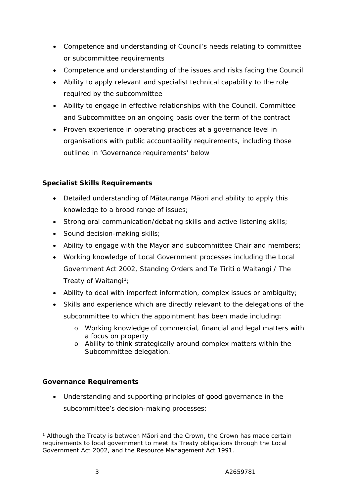- Competence and understanding of Council's needs relating to committee or subcommittee requirements
- Competence and understanding of the issues and risks facing the Council
- Ability to apply relevant and specialist technical capability to the role required by the subcommittee
- Ability to engage in effective relationships with the Council, Committee and Subcommittee on an ongoing basis over the term of the contract
- Proven experience in operating practices at a governance level in organisations with public accountability requirements, including those outlined in 'Governance requirements' below

#### **Specialist Skills Requirements**

- Detailed understanding of Mātauranga Māori and ability to apply this knowledge to a broad range of issues;
- Strong oral communication/debating skills and active listening skills;
- Sound decision-making skills;
- Ability to engage with the Mayor and subcommittee Chair and members;
- Working knowledge of Local Government processes including the Local Government Act 2002, Standing Orders and Te Tiriti o Waitangi / The Treaty of Waitangi<sup>1</sup>;
- Ability to deal with imperfect information, complex issues or ambiguity;
- Skills and experience which are directly relevant to the delegations of the subcommittee to which the appointment has been made including:
	- o Working knowledge of commercial, financial and legal matters with a focus on property
	- o Ability to think strategically around complex matters within the Subcommittee delegation.

# **Governance Requirements**

• Understanding and supporting principles of good governance in the subcommittee's decision-making processes;

<sup>&</sup>lt;sup>1</sup> Although the Treaty is between Māori and the Crown, the Crown has made certain requirements to local government to meet its Treaty obligations through the Local Government Act 2002, and the Resource Management Act 1991.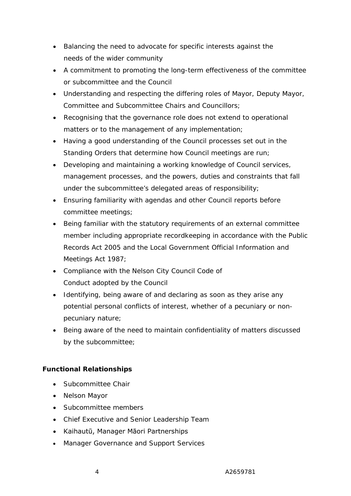- Balancing the need to advocate for specific interests against the needs of the wider community
- A commitment to promoting the long-term effectiveness of the committee or subcommittee and the Council
- Understanding and respecting the differing roles of Mayor, Deputy Mayor, Committee and Subcommittee Chairs and Councillors;
- Recognising that the governance role does not extend to operational matters or to the management of any implementation;
- Having a good understanding of the Council processes set out in the Standing Orders that determine how Council meetings are run;
- Developing and maintaining a working knowledge of Council services, management processes, and the powers, duties and constraints that fall under the subcommittee's delegated areas of responsibility;
- Ensuring familiarity with agendas and other Council reports before committee meetings;
- Being familiar with the statutory requirements of an external committee member including appropriate recordkeeping in accordance with the Public Records Act 2005 and the Local Government Official Information and Meetings Act 1987;
- Compliance with the Nelson City Council Code of Conduct adopted by the Council
- Identifying, being aware of and declaring as soon as they arise any potential personal conflicts of interest, whether of a pecuniary or nonpecuniary nature;
- Being aware of the need to maintain confidentiality of matters discussed by the subcommittee;

# **Functional Relationships**

- Subcommittee Chair
- Nelson Mayor
- Subcommittee members
- Chief Executive and Senior Leadership Team
- Kaihautū, Manager Māori Partnerships
- Manager Governance and Support Services